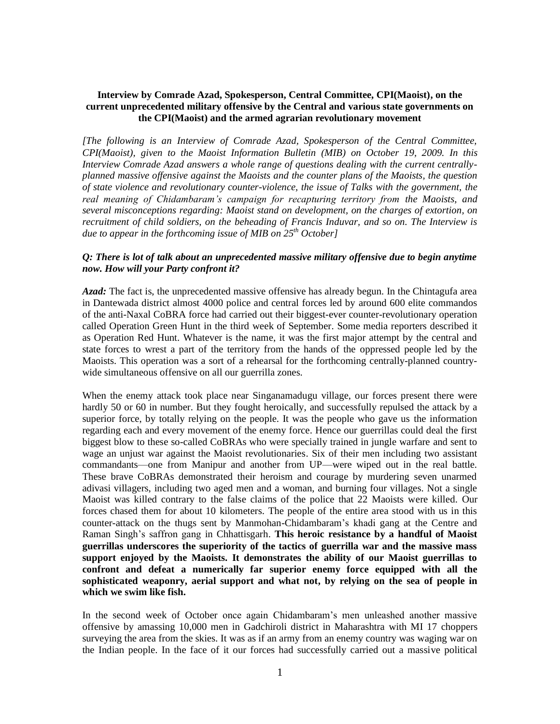## **Interview by Comrade Azad, Spokesperson, Central Committee, CPI(Maoist), on the current unprecedented military offensive by the Central and various state governments on the CPI(Maoist) and the armed agrarian revolutionary movement**

*[The following is an Interview of Comrade Azad, Spokesperson of the Central Committee, CPI(Maoist), given to the Maoist Information Bulletin (MIB) on October 19, 2009. In this Interview Comrade Azad answers a whole range of questions dealing with the current centrallyplanned massive offensive against the Maoists and the counter plans of the Maoists, the question of state violence and revolutionary counter-violence, the issue of Talks with the government, the real meaning of Chidambaram's campaign for recapturing territory from the Maoists, and several misconceptions regarding: Maoist stand on development, on the charges of extortion, on recruitment of child soldiers, on the beheading of Francis Induvar, and so on. The Interview is due to appear in the forthcoming issue of MIB on 25th October]*

#### *Q: There is lot of talk about an unprecedented massive military offensive due to begin anytime now. How will your Party confront it?*

*Azad:* The fact is, the unprecedented massive offensive has already begun. In the Chintagufa area in Dantewada district almost 4000 police and central forces led by around 600 elite commandos of the anti-Naxal CoBRA force had carried out their biggest-ever counter-revolutionary operation called Operation Green Hunt in the third week of September. Some media reporters described it as Operation Red Hunt. Whatever is the name, it was the first major attempt by the central and state forces to wrest a part of the territory from the hands of the oppressed people led by the Maoists. This operation was a sort of a rehearsal for the forthcoming centrally-planned countrywide simultaneous offensive on all our guerrilla zones.

When the enemy attack took place near Singanamadugu village, our forces present there were hardly 50 or 60 in number. But they fought heroically, and successfully repulsed the attack by a superior force, by totally relying on the people. It was the people who gave us the information regarding each and every movement of the enemy force. Hence our guerrillas could deal the first biggest blow to these so-called CoBRAs who were specially trained in jungle warfare and sent to wage an unjust war against the Maoist revolutionaries. Six of their men including two assistant commandants—one from Manipur and another from UP—were wiped out in the real battle. These brave CoBRAs demonstrated their heroism and courage by murdering seven unarmed adivasi villagers, including two aged men and a woman, and burning four villages. Not a single Maoist was killed contrary to the false claims of the police that 22 Maoists were killed. Our forces chased them for about 10 kilometers. The people of the entire area stood with us in this counter-attack on the thugs sent by Manmohan-Chidambaram's khadi gang at the Centre and Raman Singh's saffron gang in Chhattisgarh. **This heroic resistance by a handful of Maoist guerrillas underscores the superiority of the tactics of guerrilla war and the massive mass support enjoyed by the Maoists. It demonstrates the ability of our Maoist guerrillas to confront and defeat a numerically far superior enemy force equipped with all the sophisticated weaponry, aerial support and what not, by relying on the sea of people in which we swim like fish.** 

In the second week of October once again Chidambaram's men unleashed another massive offensive by amassing 10,000 men in Gadchiroli district in Maharashtra with MI 17 choppers surveying the area from the skies. It was as if an army from an enemy country was waging war on the Indian people. In the face of it our forces had successfully carried out a massive political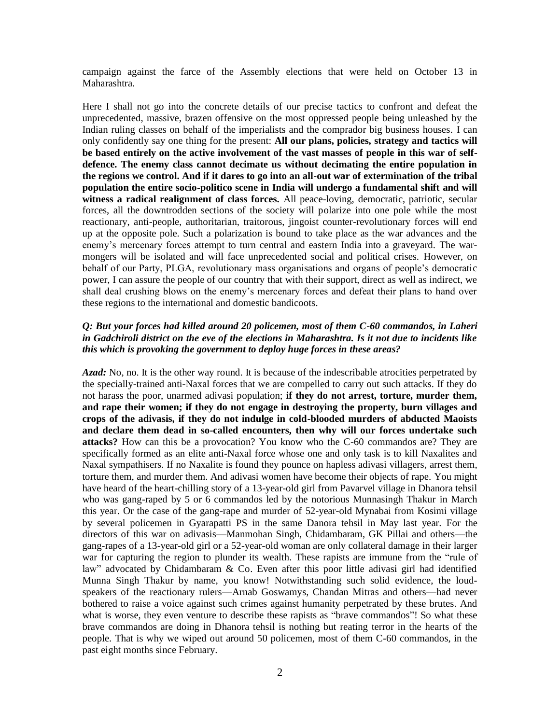campaign against the farce of the Assembly elections that were held on October 13 in Maharashtra.

Here I shall not go into the concrete details of our precise tactics to confront and defeat the unprecedented, massive, brazen offensive on the most oppressed people being unleashed by the Indian ruling classes on behalf of the imperialists and the comprador big business houses. I can only confidently say one thing for the present: **All our plans, policies, strategy and tactics will be based entirely on the active involvement of the vast masses of people in this war of selfdefence. The enemy class cannot decimate us without decimating the entire population in the regions we control. And if it dares to go into an all-out war of extermination of the tribal population the entire socio-politico scene in India will undergo a fundamental shift and will witness a radical realignment of class forces.** All peace-loving, democratic, patriotic, secular forces, all the downtrodden sections of the society will polarize into one pole while the most reactionary, anti-people, authoritarian, traitorous, jingoist counter-revolutionary forces will end up at the opposite pole. Such a polarization is bound to take place as the war advances and the enemy's mercenary forces attempt to turn central and eastern India into a graveyard. The warmongers will be isolated and will face unprecedented social and political crises. However, on behalf of our Party, PLGA, revolutionary mass organisations and organs of people's democratic power, I can assure the people of our country that with their support, direct as well as indirect, we shall deal crushing blows on the enemy's mercenary forces and defeat their plans to hand over these regions to the international and domestic bandicoots.

# *Q: But your forces had killed around 20 policemen, most of them C-60 commandos, in Laheri in Gadchiroli district on the eve of the elections in Maharashtra. Is it not due to incidents like this which is provoking the government to deploy huge forces in these areas?*

*Azad:* No, no. It is the other way round. It is because of the indescribable atrocities perpetrated by the specially-trained anti-Naxal forces that we are compelled to carry out such attacks. If they do not harass the poor, unarmed adivasi population; **if they do not arrest, torture, murder them, and rape their women; if they do not engage in destroying the property, burn villages and crops of the adivasis, if they do not indulge in cold-blooded murders of abducted Maoists and declare them dead in so-called encounters, then why will our forces undertake such attacks?** How can this be a provocation? You know who the C-60 commandos are? They are specifically formed as an elite anti-Naxal force whose one and only task is to kill Naxalites and Naxal sympathisers. If no Naxalite is found they pounce on hapless adivasi villagers, arrest them, torture them, and murder them. And adivasi women have become their objects of rape. You might have heard of the heart-chilling story of a 13-year-old girl from Pavarvel village in Dhanora tehsil who was gang-raped by 5 or 6 commandos led by the notorious Munnasingh Thakur in March this year. Or the case of the gang-rape and murder of 52-year-old Mynabai from Kosimi village by several policemen in Gyarapatti PS in the same Danora tehsil in May last year. For the directors of this war on adivasis—Manmohan Singh, Chidambaram, GK Pillai and others—the gang-rapes of a 13-year-old girl or a 52-year-old woman are only collateral damage in their larger war for capturing the region to plunder its wealth. These rapists are immune from the "rule of law" advocated by Chidambaram & Co. Even after this poor little adivasi girl had identified Munna Singh Thakur by name, you know! Notwithstanding such solid evidence, the loudspeakers of the reactionary rulers—Arnab Goswamys, Chandan Mitras and others—had never bothered to raise a voice against such crimes against humanity perpetrated by these brutes. And what is worse, they even venture to describe these rapists as "brave commandos"! So what these brave commandos are doing in Dhanora tehsil is nothing but reating terror in the hearts of the people. That is why we wiped out around 50 policemen, most of them C-60 commandos, in the past eight months since February.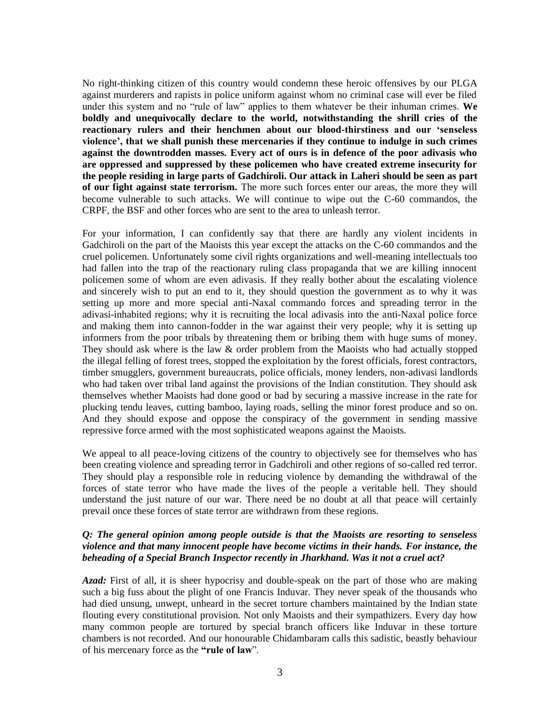No right-thinking citizen of this country would condemn these heroic offensives by our PLGA against murderers and rapists in police uniform against whom no criminal case will ever be filed under this system and no "rule of law" applies to them whatever be their inhuman crimes. We **boldly and unequivocally declare to the world, notwithstanding the shrill cries of the reactionary rulers and their henchmen about our blood-thirstiness and our "senseless violence", that we shall punish these mercenaries if they continue to indulge in such crimes against the downtrodden masses. Every act of ours is in defence of the poor adivasis who are oppressed and suppressed by these policemen who have created extreme insecurity for the people residing in large parts of Gadchiroli. Our attack in Laheri should be seen as part of our fight against state terrorism.** The more such forces enter our areas, the more they will become vulnerable to such attacks. We will continue to wipe out the C-60 commandos, the CRPF, the BSF and other forces who are sent to the area to unleash terror.

For your information, I can confidently say that there are hardly any violent incidents in Gadchiroli on the part of the Maoists this year except the attacks on the C-60 commandos and the cruel policemen. Unfortunately some civil rights organizations and well-meaning intellectuals too had fallen into the trap of the reactionary ruling class propaganda that we are killing innocent policemen some of whom are even adivasis. If they really bother about the escalating violence and sincerely wish to put an end to it, they should question the government as to why it was setting up more and more special anti-Naxal commando forces and spreading terror in the adivasi-inhabited regions; why it is recruiting the local adivasis into the anti-Naxal police force and making them into cannon-fodder in the war against their very people; why it is setting up informers from the poor tribals by threatening them or bribing them with huge sums of money. They should ask where is the law & order problem from the Maoists who had actually stopped the illegal felling of forest trees, stopped the exploitation by the forest officials, forest contractors, timber smugglers, government bureaucrats, police officials, money lenders, non-adivasi landlords who had taken over tribal land against the provisions of the Indian constitution. They should ask themselves whether Maoists had done good or bad by securing a massive increase in the rate for plucking tendu leaves, cutting bamboo, laying roads, selling the minor forest produce and so on. And they should expose and oppose the conspiracy of the government in sending massive repressive force armed with the most sophisticated weapons against the Maoists.

We appeal to all peace-loving citizens of the country to objectively see for themselves who has been creating violence and spreading terror in Gadchiroli and other regions of so-called red terror. They should play a responsible role in reducing violence by demanding the withdrawal of the forces of state terror who have made the lives of the people a veritable hell. They should understand the just nature of our war. There need be no doubt at all that peace will certainly prevail once these forces of state terror are withdrawn from these regions.

# *Q: The general opinion among people outside is that the Maoists are resorting to senseless violence and that many innocent people have become victims in their hands. For instance, the beheading of a Special Branch Inspector recently in Jharkhand. Was it not a cruel act?*

*Azad:* First of all, it is sheer hypocrisy and double-speak on the part of those who are making such a big fuss about the plight of one Francis Induvar. They never speak of the thousands who had died unsung, unwept, unheard in the secret torture chambers maintained by the Indian state flouting every constitutional provision. Not only Maoists and their sympathizers. Every day how many common people are tortured by special branch officers like Induvar in these torture chambers is not recorded. And our honourable Chidambaram calls this sadistic, beastly behaviour of his mercenary force as the "rule of law".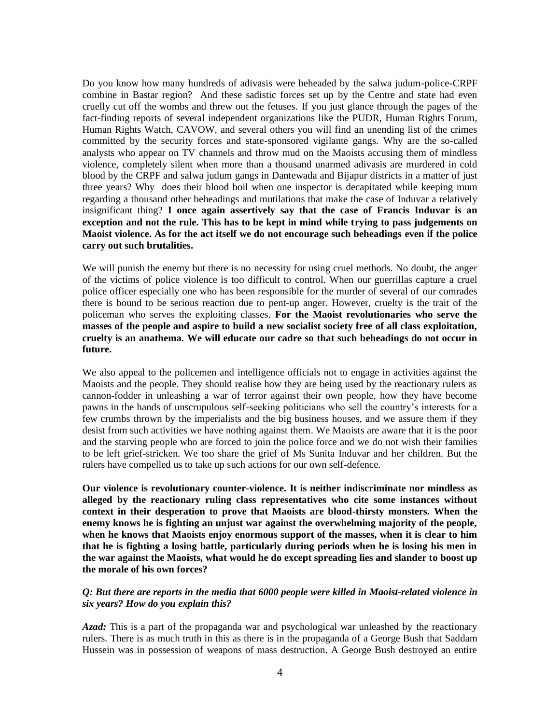Do you know how many hundreds of adivasis were beheaded by the salwa judum-police-CRPF combine in Bastar region? And these sadistic forces set up by the Centre and state had even cruelly cut off the wombs and threw out the fetuses. If you just glance through the pages of the fact-finding reports of several independent organizations like the PUDR, Human Rights Forum, Human Rights Watch, CAVOW, and several others you will find an unending list of the crimes committed by the security forces and state-sponsored vigilante gangs. Why are the so-called analysts who appear on TV channels and throw mud on the Maoists accusing them of mindless violence, completely silent when more than a thousand unarmed adivasis are murdered in cold blood by the CRPF and salwa judum gangs in Dantewada and Bijapur districts in a matter of just three years? Why does their blood boil when one inspector is decapitated while keeping mum regarding a thousand other beheadings and mutilations that make the case of Induvar a relatively insignificant thing? **I once again assertively say that the case of Francis Induvar is an exception and not the rule. This has to be kept in mind while trying to pass judgements on Maoist violence. As for the act itself we do not encourage such beheadings even if the police carry out such brutalities.** 

We will punish the enemy but there is no necessity for using cruel methods. No doubt, the anger of the victims of police violence is too difficult to control. When our guerrillas capture a cruel police officer especially one who has been responsible for the murder of several of our comrades there is bound to be serious reaction due to pent-up anger. However, cruelty is the trait of the policeman who serves the exploiting classes. **For the Maoist revolutionaries who serve the masses of the people and aspire to build a new socialist society free of all class exploitation, cruelty is an anathema. We will educate our cadre so that such beheadings do not occur in future.** 

We also appeal to the policemen and intelligence officials not to engage in activities against the Maoists and the people. They should realise how they are being used by the reactionary rulers as cannon-fodder in unleashing a war of terror against their own people, how they have become pawns in the hands of unscrupulous self-seeking politicians who sell the country's interests for a few crumbs thrown by the imperialists and the big business houses, and we assure them if they desist from such activities we have nothing against them. We Maoists are aware that it is the poor and the starving people who are forced to join the police force and we do not wish their families to be left grief-stricken. We too share the grief of Ms Sunita Induvar and her children. But the rulers have compelled us to take up such actions for our own self-defence.

**Our violence is revolutionary counter-violence. It is neither indiscriminate nor mindless as alleged by the reactionary ruling class representatives who cite some instances without context in their desperation to prove that Maoists are blood-thirsty monsters. When the enemy knows he is fighting an unjust war against the overwhelming majority of the people, when he knows that Maoists enjoy enormous support of the masses, when it is clear to him that he is fighting a losing battle, particularly during periods when he is losing his men in the war against the Maoists, what would he do except spreading lies and slander to boost up the morale of his own forces?** 

## *Q: But there are reports in the media that 6000 people were killed in Maoist-related violence in six years? How do you explain this?*

*Azad:* This is a part of the propaganda war and psychological war unleashed by the reactionary rulers. There is as much truth in this as there is in the propaganda of a George Bush that Saddam Hussein was in possession of weapons of mass destruction. A George Bush destroyed an entire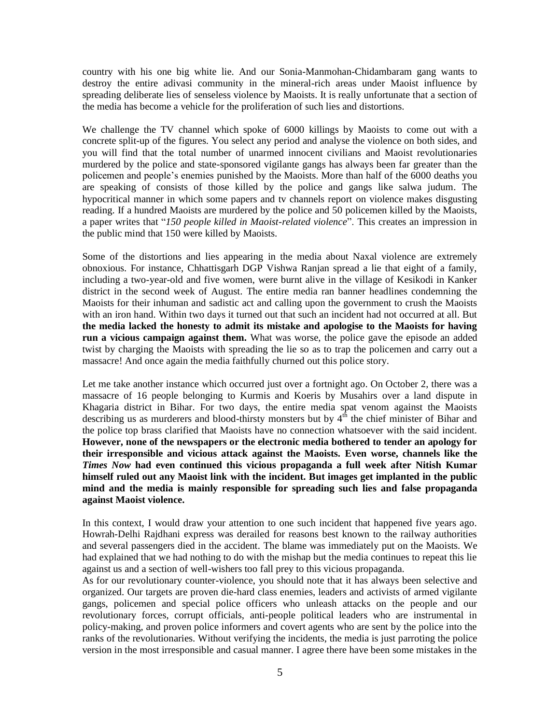country with his one big white lie. And our Sonia-Manmohan-Chidambaram gang wants to destroy the entire adivasi community in the mineral-rich areas under Maoist influence by spreading deliberate lies of senseless violence by Maoists. It is really unfortunate that a section of the media has become a vehicle for the proliferation of such lies and distortions.

We challenge the TV channel which spoke of 6000 killings by Maoists to come out with a concrete split-up of the figures. You select any period and analyse the violence on both sides, and you will find that the total number of unarmed innocent civilians and Maoist revolutionaries murdered by the police and state-sponsored vigilante gangs has always been far greater than the policemen and people's enemies punished by the Maoists. More than half of the 6000 deaths you are speaking of consists of those killed by the police and gangs like salwa judum. The hypocritical manner in which some papers and tv channels report on violence makes disgusting reading. If a hundred Maoists are murdered by the police and 50 policemen killed by the Maoists, a paper writes that "150 people killed in Maoist-related violence". This creates an impression in the public mind that 150 were killed by Maoists.

Some of the distortions and lies appearing in the media about Naxal violence are extremely obnoxious. For instance, Chhattisgarh DGP Vishwa Ranjan spread a lie that eight of a family, including a two-year-old and five women, were burnt alive in the village of Kesikodi in Kanker district in the second week of August. The entire media ran banner headlines condemning the Maoists for their inhuman and sadistic act and calling upon the government to crush the Maoists with an iron hand. Within two days it turned out that such an incident had not occurred at all. But **the media lacked the honesty to admit its mistake and apologise to the Maoists for having run a vicious campaign against them.** What was worse, the police gave the episode an added twist by charging the Maoists with spreading the lie so as to trap the policemen and carry out a massacre! And once again the media faithfully churned out this police story.

Let me take another instance which occurred just over a fortnight ago. On October 2, there was a massacre of 16 people belonging to Kurmis and Koeris by Musahirs over a land dispute in Khagaria district in Bihar. For two days, the entire media spat venom against the Maoists describing us as murderers and blood-thirsty monsters but by  $4<sup>th</sup>$  the chief minister of Bihar and the police top brass clarified that Maoists have no connection whatsoever with the said incident. **However, none of the newspapers or the electronic media bothered to tender an apology for their irresponsible and vicious attack against the Maoists. Even worse, channels like the**  *Times Now* **had even continued this vicious propaganda a full week after Nitish Kumar himself ruled out any Maoist link with the incident. But images get implanted in the public mind and the media is mainly responsible for spreading such lies and false propaganda against Maoist violence.**

In this context, I would draw your attention to one such incident that happened five years ago. Howrah-Delhi Rajdhani express was derailed for reasons best known to the railway authorities and several passengers died in the accident. The blame was immediately put on the Maoists. We had explained that we had nothing to do with the mishap but the media continues to repeat this lie against us and a section of well-wishers too fall prey to this vicious propaganda.

As for our revolutionary counter-violence, you should note that it has always been selective and organized. Our targets are proven die-hard class enemies, leaders and activists of armed vigilante gangs, policemen and special police officers who unleash attacks on the people and our revolutionary forces, corrupt officials, anti-people political leaders who are instrumental in policy-making, and proven police informers and covert agents who are sent by the police into the ranks of the revolutionaries. Without verifying the incidents, the media is just parroting the police version in the most irresponsible and casual manner. I agree there have been some mistakes in the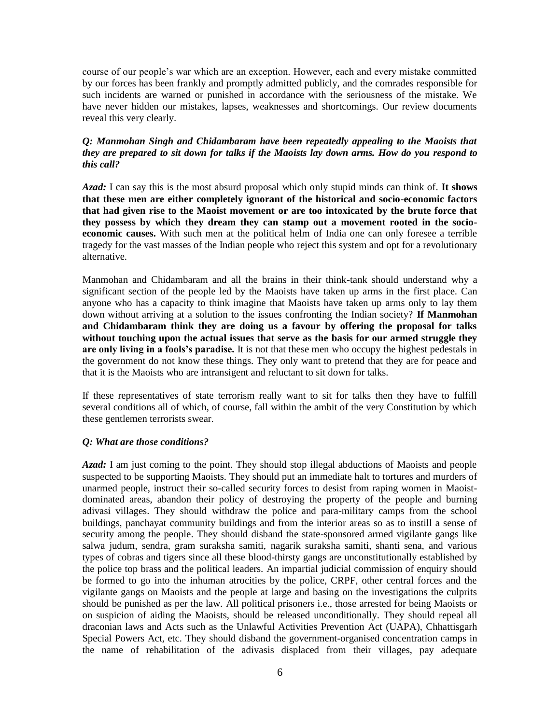course of our people's war which are an exception. However, each and every mistake committed by our forces has been frankly and promptly admitted publicly, and the comrades responsible for such incidents are warned or punished in accordance with the seriousness of the mistake. We have never hidden our mistakes, lapses, weaknesses and shortcomings. Our review documents reveal this very clearly.

## *Q: Manmohan Singh and Chidambaram have been repeatedly appealing to the Maoists that they are prepared to sit down for talks if the Maoists lay down arms. How do you respond to this call?*

*Azad:* I can say this is the most absurd proposal which only stupid minds can think of. **It shows that these men are either completely ignorant of the historical and socio-economic factors that had given rise to the Maoist movement or are too intoxicated by the brute force that they possess by which they dream they can stamp out a movement rooted in the socioeconomic causes.** With such men at the political helm of India one can only foresee a terrible tragedy for the vast masses of the Indian people who reject this system and opt for a revolutionary alternative.

Manmohan and Chidambaram and all the brains in their think-tank should understand why a significant section of the people led by the Maoists have taken up arms in the first place. Can anyone who has a capacity to think imagine that Maoists have taken up arms only to lay them down without arriving at a solution to the issues confronting the Indian society? **If Manmohan and Chidambaram think they are doing us a favour by offering the proposal for talks without touching upon the actual issues that serve as the basis for our armed struggle they are only living in a fools"s paradise.** It is not that these men who occupy the highest pedestals in the government do not know these things. They only want to pretend that they are for peace and that it is the Maoists who are intransigent and reluctant to sit down for talks.

If these representatives of state terrorism really want to sit for talks then they have to fulfill several conditions all of which, of course, fall within the ambit of the very Constitution by which these gentlemen terrorists swear.

## *Q: What are those conditions?*

*Azad:* I am just coming to the point. They should stop illegal abductions of Maoists and people suspected to be supporting Maoists. They should put an immediate halt to tortures and murders of unarmed people, instruct their so-called security forces to desist from raping women in Maoistdominated areas, abandon their policy of destroying the property of the people and burning adivasi villages. They should withdraw the police and para-military camps from the school buildings, panchayat community buildings and from the interior areas so as to instill a sense of security among the people. They should disband the state-sponsored armed vigilante gangs like salwa judum, sendra, gram suraksha samiti, nagarik suraksha samiti, shanti sena, and various types of cobras and tigers since all these blood-thirsty gangs are unconstitutionally established by the police top brass and the political leaders. An impartial judicial commission of enquiry should be formed to go into the inhuman atrocities by the police, CRPF, other central forces and the vigilante gangs on Maoists and the people at large and basing on the investigations the culprits should be punished as per the law. All political prisoners i.e., those arrested for being Maoists or on suspicion of aiding the Maoists, should be released unconditionally. They should repeal all draconian laws and Acts such as the Unlawful Activities Prevention Act (UAPA), Chhattisgarh Special Powers Act, etc. They should disband the government-organised concentration camps in the name of rehabilitation of the adivasis displaced from their villages, pay adequate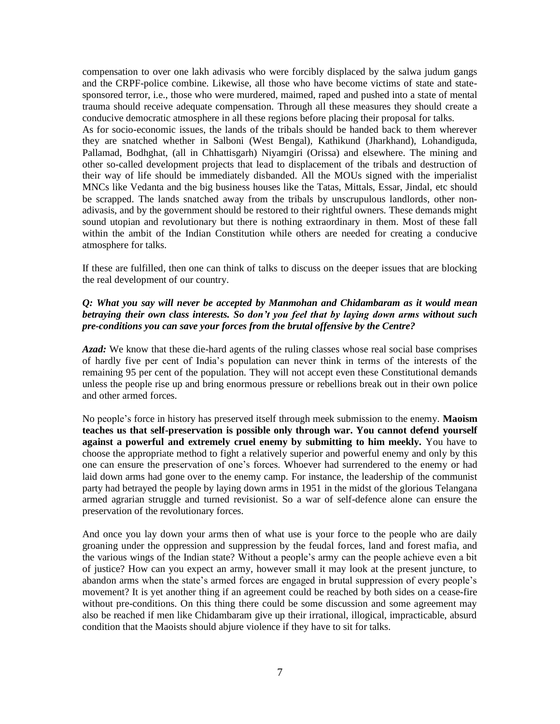compensation to over one lakh adivasis who were forcibly displaced by the salwa judum gangs and the CRPF-police combine. Likewise, all those who have become victims of state and statesponsored terror, i.e., those who were murdered, maimed, raped and pushed into a state of mental trauma should receive adequate compensation. Through all these measures they should create a conducive democratic atmosphere in all these regions before placing their proposal for talks.

As for socio-economic issues, the lands of the tribals should be handed back to them wherever they are snatched whether in Salboni (West Bengal), Kathikund (Jharkhand), Lohandiguda, Pallamad, Bodhghat, (all in Chhattisgarh) Niyamgiri (Orissa) and elsewhere. The mining and other so-called development projects that lead to displacement of the tribals and destruction of their way of life should be immediately disbanded. All the MOUs signed with the imperialist MNCs like Vedanta and the big business houses like the Tatas, Mittals, Essar, Jindal, etc should be scrapped. The lands snatched away from the tribals by unscrupulous landlords, other nonadivasis, and by the government should be restored to their rightful owners. These demands might sound utopian and revolutionary but there is nothing extraordinary in them. Most of these fall within the ambit of the Indian Constitution while others are needed for creating a conducive atmosphere for talks.

If these are fulfilled, then one can think of talks to discuss on the deeper issues that are blocking the real development of our country.

## *Q: What you say will never be accepted by Manmohan and Chidambaram as it would mean betraying their own class interests. So don't you feel that by laying down arms without such pre-conditions you can save your forces from the brutal offensive by the Centre?*

*Azad:* We know that these die-hard agents of the ruling classes whose real social base comprises of hardly five per cent of India's population can never think in terms of the interests of the remaining 95 per cent of the population. They will not accept even these Constitutional demands unless the people rise up and bring enormous pressure or rebellions break out in their own police and other armed forces.

No people's force in history has preserved itself through meek submission to the enemy. **Maoism teaches us that self-preservation is possible only through war. You cannot defend yourself against a powerful and extremely cruel enemy by submitting to him meekly.** You have to choose the appropriate method to fight a relatively superior and powerful enemy and only by this one can ensure the preservation of one's forces. Whoever had surrendered to the enemy or had laid down arms had gone over to the enemy camp. For instance, the leadership of the communist party had betrayed the people by laying down arms in 1951 in the midst of the glorious Telangana armed agrarian struggle and turned revisionist. So a war of self-defence alone can ensure the preservation of the revolutionary forces.

And once you lay down your arms then of what use is your force to the people who are daily groaning under the oppression and suppression by the feudal forces, land and forest mafia, and the various wings of the Indian state? Without a people's army can the people achieve even a bit of justice? How can you expect an army, however small it may look at the present juncture, to abandon arms when the state's armed forces are engaged in brutal suppression of every people's movement? It is yet another thing if an agreement could be reached by both sides on a cease-fire without pre-conditions. On this thing there could be some discussion and some agreement may also be reached if men like Chidambaram give up their irrational, illogical, impracticable, absurd condition that the Maoists should abjure violence if they have to sit for talks.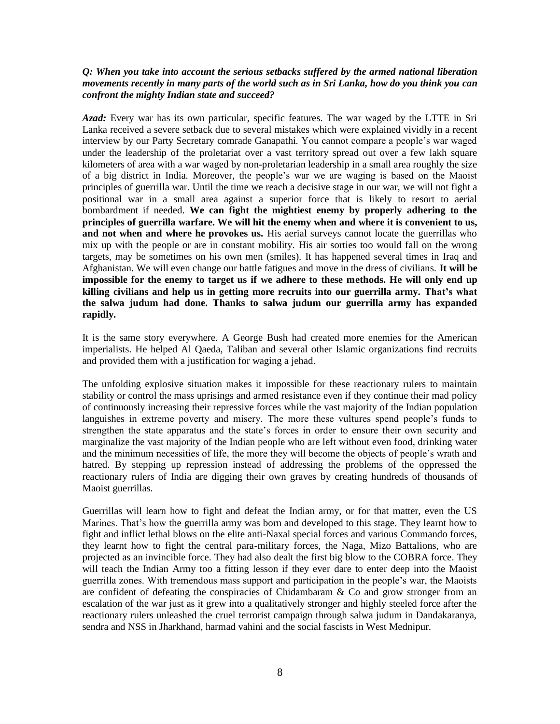## *Q: When you take into account the serious setbacks suffered by the armed national liberation movements recently in many parts of the world such as in Sri Lanka, how do you think you can confront the mighty Indian state and succeed?*

*Azad:* Every war has its own particular, specific features. The war waged by the LTTE in Sri Lanka received a severe setback due to several mistakes which were explained vividly in a recent interview by our Party Secretary comrade Ganapathi. You cannot compare a people's war waged under the leadership of the proletariat over a vast territory spread out over a few lakh square kilometers of area with a war waged by non-proletarian leadership in a small area roughly the size of a big district in India. Moreover, the people's war we are waging is based on the Maoist principles of guerrilla war. Until the time we reach a decisive stage in our war, we will not fight a positional war in a small area against a superior force that is likely to resort to aerial bombardment if needed. **We can fight the mightiest enemy by properly adhering to the principles of guerrilla warfare. We will hit the enemy when and where it is convenient to us, and not when and where he provokes us.** His aerial surveys cannot locate the guerrillas who mix up with the people or are in constant mobility. His air sorties too would fall on the wrong targets, may be sometimes on his own men (smiles). It has happened several times in Iraq and Afghanistan. We will even change our battle fatigues and move in the dress of civilians. **It will be impossible for the enemy to target us if we adhere to these methods. He will only end up killing civilians and help us in getting more recruits into our guerrilla army. That"s what the salwa judum had done. Thanks to salwa judum our guerrilla army has expanded rapidly.** 

It is the same story everywhere. A George Bush had created more enemies for the American imperialists. He helped Al Qaeda, Taliban and several other Islamic organizations find recruits and provided them with a justification for waging a jehad.

The unfolding explosive situation makes it impossible for these reactionary rulers to maintain stability or control the mass uprisings and armed resistance even if they continue their mad policy of continuously increasing their repressive forces while the vast majority of the Indian population languishes in extreme poverty and misery. The more these vultures spend people's funds to strengthen the state apparatus and the state's forces in order to ensure their own security and marginalize the vast majority of the Indian people who are left without even food, drinking water and the minimum necessities of life, the more they will become the objects of people's wrath and hatred. By stepping up repression instead of addressing the problems of the oppressed the reactionary rulers of India are digging their own graves by creating hundreds of thousands of Maoist guerrillas.

Guerrillas will learn how to fight and defeat the Indian army, or for that matter, even the US Marines. That's how the guerrilla army was born and developed to this stage. They learnt how to fight and inflict lethal blows on the elite anti-Naxal special forces and various Commando forces, they learnt how to fight the central para-military forces, the Naga, Mizo Battalions, who are projected as an invincible force. They had also dealt the first big blow to the COBRA force. They will teach the Indian Army too a fitting lesson if they ever dare to enter deep into the Maoist guerrilla zones. With tremendous mass support and participation in the people's war, the Maoists are confident of defeating the conspiracies of Chidambaram & Co and grow stronger from an escalation of the war just as it grew into a qualitatively stronger and highly steeled force after the reactionary rulers unleashed the cruel terrorist campaign through salwa judum in Dandakaranya, sendra and NSS in Jharkhand, harmad vahini and the social fascists in West Mednipur.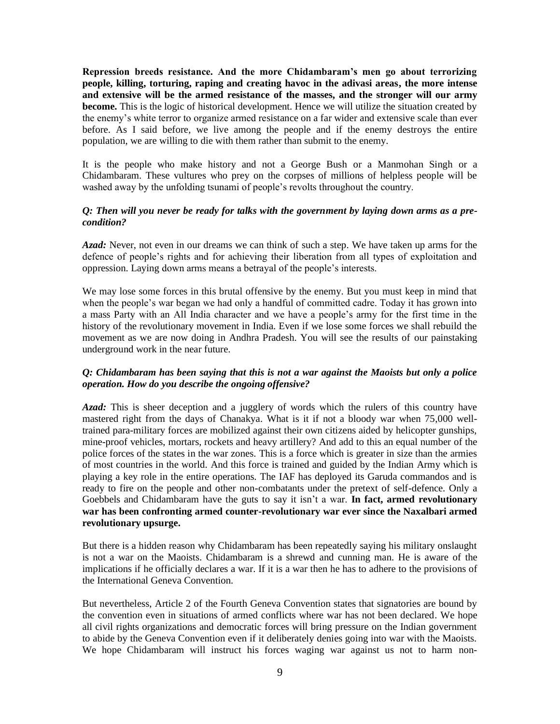**Repression breeds resistance. And the more Chidambaram"s men go about terrorizing people, killing, torturing, raping and creating havoc in the adivasi areas, the more intense and extensive will be the armed resistance of the masses, and the stronger will our army become.** This is the logic of historical development. Hence we will utilize the situation created by the enemy's white terror to organize armed resistance on a far wider and extensive scale than ever before. As I said before, we live among the people and if the enemy destroys the entire population, we are willing to die with them rather than submit to the enemy.

It is the people who make history and not a George Bush or a Manmohan Singh or a Chidambaram. These vultures who prey on the corpses of millions of helpless people will be washed away by the unfolding tsunami of people's revolts throughout the country.

## *Q: Then will you never be ready for talks with the government by laying down arms as a precondition?*

*Azad:* Never, not even in our dreams we can think of such a step. We have taken up arms for the defence of people's rights and for achieving their liberation from all types of exploitation and oppression. Laying down arms means a betrayal of the people's interests.

We may lose some forces in this brutal offensive by the enemy. But you must keep in mind that when the people's war began we had only a handful of committed cadre. Today it has grown into a mass Party with an All India character and we have a people's army for the first time in the history of the revolutionary movement in India. Even if we lose some forces we shall rebuild the movement as we are now doing in Andhra Pradesh. You will see the results of our painstaking underground work in the near future.

# *Q: Chidambaram has been saying that this is not a war against the Maoists but only a police operation. How do you describe the ongoing offensive?*

*Azad:* This is sheer deception and a jugglery of words which the rulers of this country have mastered right from the days of Chanakya. What is it if not a bloody war when 75,000 welltrained para-military forces are mobilized against their own citizens aided by helicopter gunships, mine-proof vehicles, mortars, rockets and heavy artillery? And add to this an equal number of the police forces of the states in the war zones. This is a force which is greater in size than the armies of most countries in the world. And this force is trained and guided by the Indian Army which is playing a key role in the entire operations. The IAF has deployed its Garuda commandos and is ready to fire on the people and other non-combatants under the pretext of self-defence. Only a Goebbels and Chidambaram have the guts to say it isn't a war. **In fact, armed revolutionary war has been confronting armed counter-revolutionary war ever since the Naxalbari armed revolutionary upsurge.**

But there is a hidden reason why Chidambaram has been repeatedly saying his military onslaught is not a war on the Maoists. Chidambaram is a shrewd and cunning man. He is aware of the implications if he officially declares a war. If it is a war then he has to adhere to the provisions of the International Geneva Convention.

But nevertheless, Article 2 of the Fourth Geneva Convention states that signatories are bound by the convention even in situations of armed conflicts where war has not been declared. We hope all civil rights organizations and democratic forces will bring pressure on the Indian government to abide by the Geneva Convention even if it deliberately denies going into war with the Maoists. We hope Chidambaram will instruct his forces waging war against us not to harm non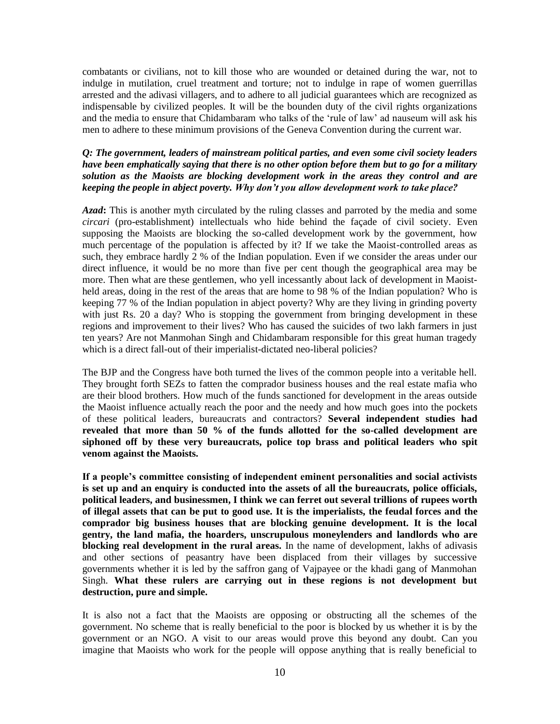combatants or civilians, not to kill those who are wounded or detained during the war, not to indulge in mutilation, cruel treatment and torture; not to indulge in rape of women guerrillas arrested and the adivasi villagers, and to adhere to all judicial guarantees which are recognized as indispensable by civilized peoples. It will be the bounden duty of the civil rights organizations and the media to ensure that Chidambaram who talks of the 'rule of law' ad nauseum will ask his men to adhere to these minimum provisions of the Geneva Convention during the current war.

# *Q: The government, leaders of mainstream political parties, and even some civil society leaders have been emphatically saying that there is no other option before them but to go for a military solution as the Maoists are blocking development work in the areas they control and are keeping the people in abject poverty. Why don't you allow development work to take place?*

*Azad***:** This is another myth circulated by the ruling classes and parroted by the media and some *circari* (pro-establishment) intellectuals who hide behind the façade of civil society. Even supposing the Maoists are blocking the so-called development work by the government, how much percentage of the population is affected by it? If we take the Maoist-controlled areas as such, they embrace hardly 2 % of the Indian population. Even if we consider the areas under our direct influence, it would be no more than five per cent though the geographical area may be more. Then what are these gentlemen, who yell incessantly about lack of development in Maoistheld areas, doing in the rest of the areas that are home to 98 % of the Indian population? Who is keeping 77 % of the Indian population in abject poverty? Why are they living in grinding poverty with just Rs. 20 a day? Who is stopping the government from bringing development in these regions and improvement to their lives? Who has caused the suicides of two lakh farmers in just ten years? Are not Manmohan Singh and Chidambaram responsible for this great human tragedy which is a direct fall-out of their imperialist-dictated neo-liberal policies?

The BJP and the Congress have both turned the lives of the common people into a veritable hell. They brought forth SEZs to fatten the comprador business houses and the real estate mafia who are their blood brothers. How much of the funds sanctioned for development in the areas outside the Maoist influence actually reach the poor and the needy and how much goes into the pockets of these political leaders, bureaucrats and contractors? **Several independent studies had revealed that more than 50 % of the funds allotted for the so-called development are siphoned off by these very bureaucrats, police top brass and political leaders who spit venom against the Maoists.**

**If a people"s committee consisting of independent eminent personalities and social activists is set up and an enquiry is conducted into the assets of all the bureaucrats, police officials, political leaders, and businessmen, I think we can ferret out several trillions of rupees worth of illegal assets that can be put to good use. It is the imperialists, the feudal forces and the comprador big business houses that are blocking genuine development. It is the local gentry, the land mafia, the hoarders, unscrupulous moneylenders and landlords who are blocking real development in the rural areas.** In the name of development, lakhs of adivasis and other sections of peasantry have been displaced from their villages by successive governments whether it is led by the saffron gang of Vajpayee or the khadi gang of Manmohan Singh. **What these rulers are carrying out in these regions is not development but destruction, pure and simple.**

It is also not a fact that the Maoists are opposing or obstructing all the schemes of the government. No scheme that is really beneficial to the poor is blocked by us whether it is by the government or an NGO. A visit to our areas would prove this beyond any doubt. Can you imagine that Maoists who work for the people will oppose anything that is really beneficial to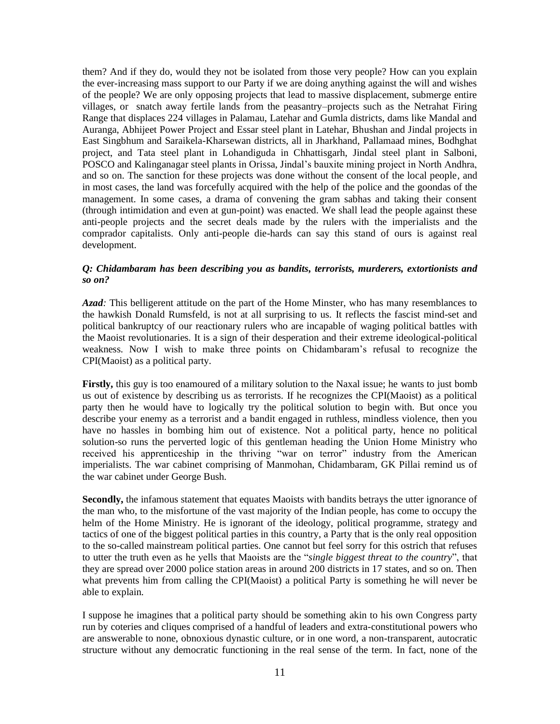them? And if they do, would they not be isolated from those very people? How can you explain the ever-increasing mass support to our Party if we are doing anything against the will and wishes of the people? We are only opposing projects that lead to massive displacement, submerge entire villages, or snatch away fertile lands from the peasantry–projects such as the Netrahat Firing Range that displaces 224 villages in Palamau, Latehar and Gumla districts, dams like Mandal and Auranga, Abhijeet Power Project and Essar steel plant in Latehar, Bhushan and Jindal projects in East Singbhum and Saraikela-Kharsewan districts, all in Jharkhand, Pallamaad mines, Bodhghat project, and Tata steel plant in Lohandiguda in Chhattisgarh, Jindal steel plant in Salboni, POSCO and Kalinganagar steel plants in Orissa, Jindal's bauxite mining project in North Andhra, and so on. The sanction for these projects was done without the consent of the local people, and in most cases, the land was forcefully acquired with the help of the police and the goondas of the management. In some cases, a drama of convening the gram sabhas and taking their consent (through intimidation and even at gun-point) was enacted. We shall lead the people against these anti-people projects and the secret deals made by the rulers with the imperialists and the comprador capitalists. Only anti-people die-hards can say this stand of ours is against real development.

### *Q: Chidambaram has been describing you as bandits, terrorists, murderers, extortionists and so on?*

*Azad:* This belligerent attitude on the part of the Home Minster, who has many resemblances to the hawkish Donald Rumsfeld, is not at all surprising to us. It reflects the fascist mind-set and political bankruptcy of our reactionary rulers who are incapable of waging political battles with the Maoist revolutionaries. It is a sign of their desperation and their extreme ideological-political weakness. Now I wish to make three points on Chidambaram's refusal to recognize the CPI(Maoist) as a political party.

**Firstly,** this guy is too enamoured of a military solution to the Naxal issue; he wants to just bomb us out of existence by describing us as terrorists. If he recognizes the CPI(Maoist) as a political party then he would have to logically try the political solution to begin with. But once you describe your enemy as a terrorist and a bandit engaged in ruthless, mindless violence, then you have no hassles in bombing him out of existence. Not a political party, hence no political solution-so runs the perverted logic of this gentleman heading the Union Home Ministry who received his apprenticeship in the thriving "war on terror" industry from the American imperialists. The war cabinet comprising of Manmohan, Chidambaram, GK Pillai remind us of the war cabinet under George Bush.

**Secondly,** the infamous statement that equates Maoists with bandits betrays the utter ignorance of the man who, to the misfortune of the vast majority of the Indian people, has come to occupy the helm of the Home Ministry. He is ignorant of the ideology, political programme, strategy and tactics of one of the biggest political parties in this country, a Party that is the only real opposition to the so-called mainstream political parties. One cannot but feel sorry for this ostrich that refuses to utter the truth even as he yells that Maoists are the "*single biggest threat to the country*", that they are spread over 2000 police station areas in around 200 districts in 17 states, and so on. Then what prevents him from calling the CPI(Maoist) a political Party is something he will never be able to explain.

I suppose he imagines that a political party should be something akin to his own Congress party run by coteries and cliques comprised of a handful of leaders and extra-constitutional powers who are answerable to none, obnoxious dynastic culture, or in one word, a non-transparent, autocratic structure without any democratic functioning in the real sense of the term. In fact, none of the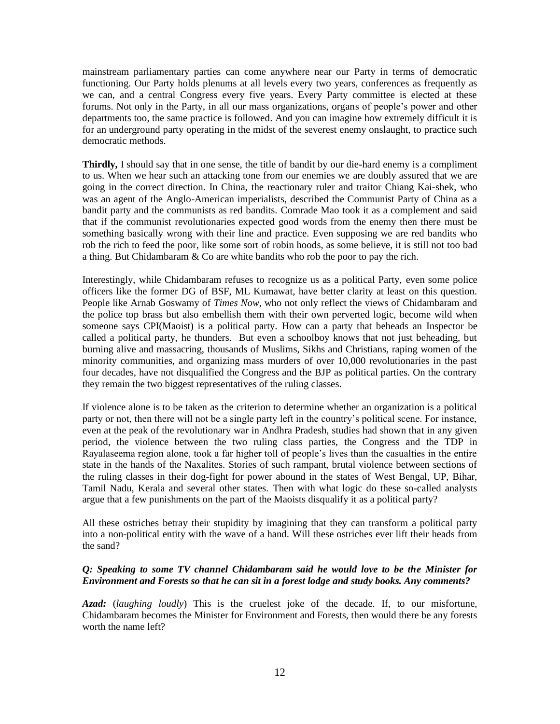mainstream parliamentary parties can come anywhere near our Party in terms of democratic functioning. Our Party holds plenums at all levels every two years, conferences as frequently as we can, and a central Congress every five years. Every Party committee is elected at these forums. Not only in the Party, in all our mass organizations, organs of people's power and other departments too, the same practice is followed. And you can imagine how extremely difficult it is for an underground party operating in the midst of the severest enemy onslaught, to practice such democratic methods.

**Thirdly,** I should say that in one sense, the title of bandit by our die-hard enemy is a compliment to us. When we hear such an attacking tone from our enemies we are doubly assured that we are going in the correct direction. In China, the reactionary ruler and traitor Chiang Kai-shek, who was an agent of the Anglo-American imperialists, described the Communist Party of China as a bandit party and the communists as red bandits. Comrade Mao took it as a complement and said that if the communist revolutionaries expected good words from the enemy then there must be something basically wrong with their line and practice. Even supposing we are red bandits who rob the rich to feed the poor, like some sort of robin hoods, as some believe, it is still not too bad a thing. But Chidambaram & Co are white bandits who rob the poor to pay the rich.

Interestingly, while Chidambaram refuses to recognize us as a political Party, even some police officers like the former DG of BSF, ML Kumawat, have better clarity at least on this question. People like Arnab Goswamy of *Times Now,* who not only reflect the views of Chidambaram and the police top brass but also embellish them with their own perverted logic, become wild when someone says CPI(Maoist) is a political party. How can a party that beheads an Inspector be called a political party, he thunders. But even a schoolboy knows that not just beheading, but burning alive and massacring, thousands of Muslims, Sikhs and Christians, raping women of the minority communities, and organizing mass murders of over 10,000 revolutionaries in the past four decades, have not disqualified the Congress and the BJP as political parties. On the contrary they remain the two biggest representatives of the ruling classes.

If violence alone is to be taken as the criterion to determine whether an organization is a political party or not, then there will not be a single party left in the country's political scene. For instance, even at the peak of the revolutionary war in Andhra Pradesh, studies had shown that in any given period, the violence between the two ruling class parties, the Congress and the TDP in Rayalaseema region alone, took a far higher toll of people's lives than the casualties in the entire state in the hands of the Naxalites. Stories of such rampant, brutal violence between sections of the ruling classes in their dog-fight for power abound in the states of West Bengal, UP, Bihar, Tamil Nadu, Kerala and several other states. Then with what logic do these so-called analysts argue that a few punishments on the part of the Maoists disqualify it as a political party?

All these ostriches betray their stupidity by imagining that they can transform a political party into a non-political entity with the wave of a hand. Will these ostriches ever lift their heads from the sand?

## *Q: Speaking to some TV channel Chidambaram said he would love to be the Minister for Environment and Forests so that he can sit in a forest lodge and study books. Any comments?*

*Azad:* (*laughing loudly*) This is the cruelest joke of the decade. If, to our misfortune, Chidambaram becomes the Minister for Environment and Forests, then would there be any forests worth the name left?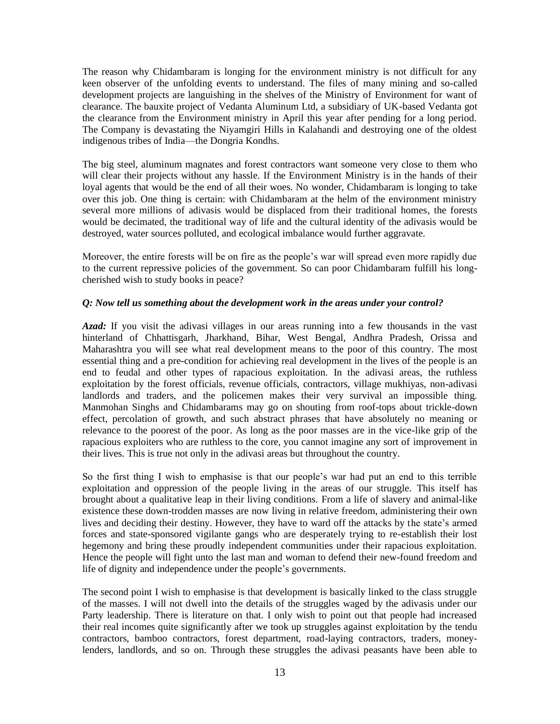The reason why Chidambaram is longing for the environment ministry is not difficult for any keen observer of the unfolding events to understand. The files of many mining and so-called development projects are languishing in the shelves of the Ministry of Environment for want of clearance. The bauxite project of Vedanta Aluminum Ltd, a subsidiary of UK-based Vedanta got the clearance from the Environment ministry in April this year after pending for a long period. The Company is devastating the Niyamgiri Hills in Kalahandi and destroying one of the oldest indigenous tribes of India—the Dongria Kondhs.

The big steel, aluminum magnates and forest contractors want someone very close to them who will clear their projects without any hassle. If the Environment Ministry is in the hands of their loyal agents that would be the end of all their woes. No wonder, Chidambaram is longing to take over this job. One thing is certain: with Chidambaram at the helm of the environment ministry several more millions of adivasis would be displaced from their traditional homes, the forests would be decimated, the traditional way of life and the cultural identity of the adivasis would be destroyed, water sources polluted, and ecological imbalance would further aggravate.

Moreover, the entire forests will be on fire as the people's war will spread even more rapidly due to the current repressive policies of the government. So can poor Chidambaram fulfill his longcherished wish to study books in peace?

## *Q: Now tell us something about the development work in the areas under your control?*

*Azad:* If you visit the adivasi villages in our areas running into a few thousands in the vast hinterland of Chhattisgarh, Jharkhand, Bihar, West Bengal, Andhra Pradesh, Orissa and Maharashtra you will see what real development means to the poor of this country. The most essential thing and a pre-condition for achieving real development in the lives of the people is an end to feudal and other types of rapacious exploitation. In the adivasi areas, the ruthless exploitation by the forest officials, revenue officials, contractors, village mukhiyas, non-adivasi landlords and traders, and the policemen makes their very survival an impossible thing. Manmohan Singhs and Chidambarams may go on shouting from roof-tops about trickle-down effect, percolation of growth, and such abstract phrases that have absolutely no meaning or relevance to the poorest of the poor. As long as the poor masses are in the vice-like grip of the rapacious exploiters who are ruthless to the core, you cannot imagine any sort of improvement in their lives. This is true not only in the adivasi areas but throughout the country.

So the first thing I wish to emphasise is that our people's war had put an end to this terrible exploitation and oppression of the people living in the areas of our struggle. This itself has brought about a qualitative leap in their living conditions. From a life of slavery and animal-like existence these down-trodden masses are now living in relative freedom, administering their own lives and deciding their destiny. However, they have to ward off the attacks by the state's armed forces and state-sponsored vigilante gangs who are desperately trying to re-establish their lost hegemony and bring these proudly independent communities under their rapacious exploitation. Hence the people will fight unto the last man and woman to defend their new-found freedom and life of dignity and independence under the people's governments.

The second point I wish to emphasise is that development is basically linked to the class struggle of the masses. I will not dwell into the details of the struggles waged by the adivasis under our Party leadership. There is literature on that. I only wish to point out that people had increased their real incomes quite significantly after we took up struggles against exploitation by the tendu contractors, bamboo contractors, forest department, road-laying contractors, traders, moneylenders, landlords, and so on. Through these struggles the adivasi peasants have been able to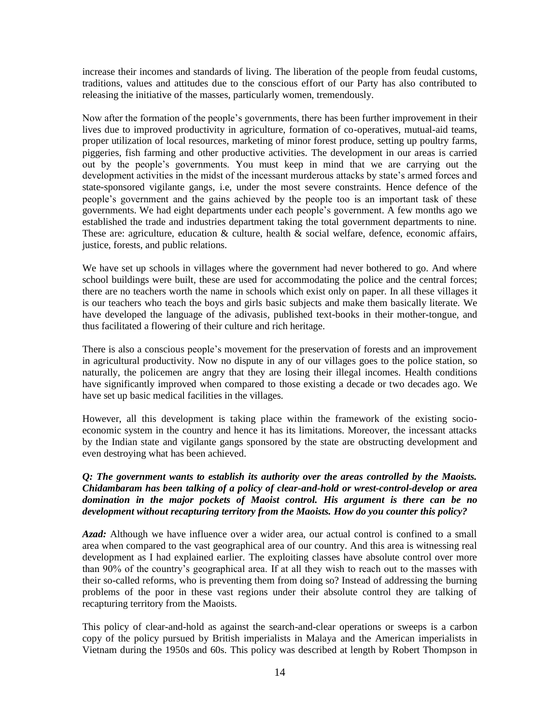increase their incomes and standards of living. The liberation of the people from feudal customs, traditions, values and attitudes due to the conscious effort of our Party has also contributed to releasing the initiative of the masses, particularly women, tremendously.

Now after the formation of the people's governments, there has been further improvement in their lives due to improved productivity in agriculture, formation of co-operatives, mutual-aid teams, proper utilization of local resources, marketing of minor forest produce, setting up poultry farms, piggeries, fish farming and other productive activities. The development in our areas is carried out by the people's governments. You must keep in mind that we are carrying out the development activities in the midst of the incessant murderous attacks by state's armed forces and state-sponsored vigilante gangs, i.e, under the most severe constraints. Hence defence of the people's government and the gains achieved by the people too is an important task of these governments. We had eight departments under each people's government. A few months ago we established the trade and industries department taking the total government departments to nine. These are: agriculture, education  $\&$  culture, health  $\&$  social welfare, defence, economic affairs, justice, forests, and public relations.

We have set up schools in villages where the government had never bothered to go. And where school buildings were built, these are used for accommodating the police and the central forces; there are no teachers worth the name in schools which exist only on paper. In all these villages it is our teachers who teach the boys and girls basic subjects and make them basically literate. We have developed the language of the adivasis, published text-books in their mother-tongue, and thus facilitated a flowering of their culture and rich heritage.

There is also a conscious people's movement for the preservation of forests and an improvement in agricultural productivity. Now no dispute in any of our villages goes to the police station, so naturally, the policemen are angry that they are losing their illegal incomes. Health conditions have significantly improved when compared to those existing a decade or two decades ago. We have set up basic medical facilities in the villages.

However, all this development is taking place within the framework of the existing socioeconomic system in the country and hence it has its limitations. Moreover, the incessant attacks by the Indian state and vigilante gangs sponsored by the state are obstructing development and even destroying what has been achieved.

# *Q: The government wants to establish its authority over the areas controlled by the Maoists. Chidambaram has been talking of a policy of clear-and-hold or wrest-control-develop or area domination in the major pockets of Maoist control. His argument is there can be no development without recapturing territory from the Maoists. How do you counter this policy?*

*Azad:* Although we have influence over a wider area, our actual control is confined to a small area when compared to the vast geographical area of our country. And this area is witnessing real development as I had explained earlier. The exploiting classes have absolute control over more than 90% of the country's geographical area. If at all they wish to reach out to the masses with their so-called reforms, who is preventing them from doing so? Instead of addressing the burning problems of the poor in these vast regions under their absolute control they are talking of recapturing territory from the Maoists.

This policy of clear-and-hold as against the search-and-clear operations or sweeps is a carbon copy of the policy pursued by British imperialists in Malaya and the American imperialists in Vietnam during the 1950s and 60s. This policy was described at length by Robert Thompson in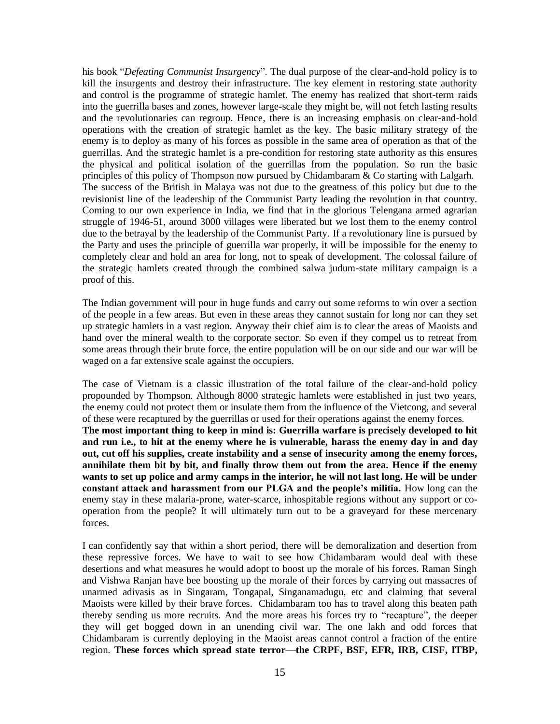his book "*Defeating Communist Insurgency*". The dual purpose of the clear-and-hold policy is to kill the insurgents and destroy their infrastructure. The key element in restoring state authority and control is the programme of strategic hamlet. The enemy has realized that short-term raids into the guerrilla bases and zones, however large-scale they might be, will not fetch lasting results and the revolutionaries can regroup. Hence, there is an increasing emphasis on clear-and-hold operations with the creation of strategic hamlet as the key. The basic military strategy of the enemy is to deploy as many of his forces as possible in the same area of operation as that of the guerrillas. And the strategic hamlet is a pre-condition for restoring state authority as this ensures the physical and political isolation of the guerrillas from the population. So run the basic principles of this policy of Thompson now pursued by Chidambaram & Co starting with Lalgarh. The success of the British in Malaya was not due to the greatness of this policy but due to the revisionist line of the leadership of the Communist Party leading the revolution in that country. Coming to our own experience in India, we find that in the glorious Telengana armed agrarian struggle of 1946-51, around 3000 villages were liberated but we lost them to the enemy control due to the betrayal by the leadership of the Communist Party. If a revolutionary line is pursued by the Party and uses the principle of guerrilla war properly, it will be impossible for the enemy to completely clear and hold an area for long, not to speak of development. The colossal failure of the strategic hamlets created through the combined salwa judum-state military campaign is a proof of this.

The Indian government will pour in huge funds and carry out some reforms to win over a section of the people in a few areas. But even in these areas they cannot sustain for long nor can they set up strategic hamlets in a vast region. Anyway their chief aim is to clear the areas of Maoists and hand over the mineral wealth to the corporate sector. So even if they compel us to retreat from some areas through their brute force, the entire population will be on our side and our war will be waged on a far extensive scale against the occupiers.

The case of Vietnam is a classic illustration of the total failure of the clear-and-hold policy propounded by Thompson. Although 8000 strategic hamlets were established in just two years, the enemy could not protect them or insulate them from the influence of the Vietcong, and several of these were recaptured by the guerrillas or used for their operations against the enemy forces. **The most important thing to keep in mind is: Guerrilla warfare is precisely developed to hit and run i.e., to hit at the enemy where he is vulnerable, harass the enemy day in and day out, cut off his supplies, create instability and a sense of insecurity among the enemy forces, annihilate them bit by bit, and finally throw them out from the area. Hence if the enemy wants to set up police and army camps in the interior, he will not last long. He will be under constant attack and harassment from our PLGA and the people"s militia.** How long can the enemy stay in these malaria-prone, water-scarce, inhospitable regions without any support or cooperation from the people? It will ultimately turn out to be a graveyard for these mercenary forces.

I can confidently say that within a short period, there will be demoralization and desertion from these repressive forces. We have to wait to see how Chidambaram would deal with these desertions and what measures he would adopt to boost up the morale of his forces. Raman Singh and Vishwa Ranjan have bee boosting up the morale of their forces by carrying out massacres of unarmed adivasis as in Singaram, Tongapal, Singanamadugu, etc and claiming that several Maoists were killed by their brave forces. Chidambaram too has to travel along this beaten path thereby sending us more recruits. And the more areas his forces try to "recapture", the deeper they will get bogged down in an unending civil war. The one lakh and odd forces that Chidambaram is currently deploying in the Maoist areas cannot control a fraction of the entire region. **These forces which spread state terror—the CRPF, BSF, EFR, IRB, CISF, ITBP,**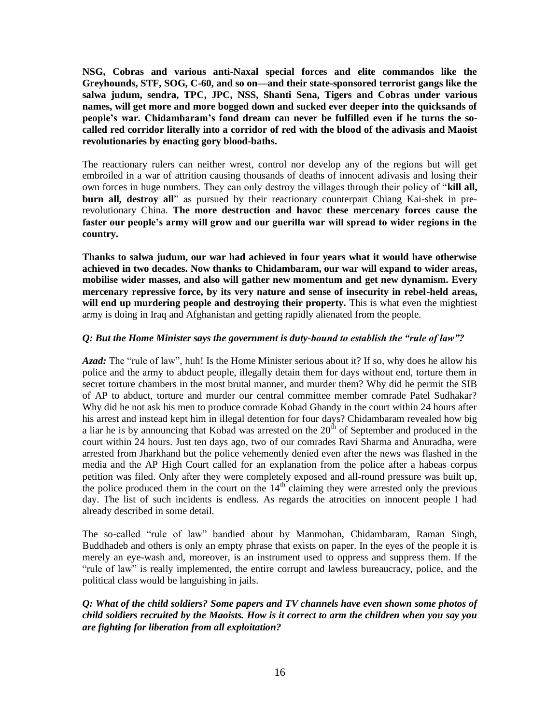**NSG, Cobras and various anti-Naxal special forces and elite commandos like the Greyhounds, STF, SOG, C-60, and so on—and their state-sponsored terrorist gangs like the salwa judum, sendra, TPC, JPC, NSS, Shanti Sena, Tigers and Cobras under various names, will get more and more bogged down and sucked ever deeper into the quicksands of people"s war. Chidambaram"s fond dream can never be fulfilled even if he turns the socalled red corridor literally into a corridor of red with the blood of the adivasis and Maoist revolutionaries by enacting gory blood-baths.** 

The reactionary rulers can neither wrest, control nor develop any of the regions but will get embroiled in a war of attrition causing thousands of deaths of innocent adivasis and losing their own forces in huge numbers. They can only destroy the villages through their policy of "**kill all, burn all, destroy all**" as pursued by their reactionary counterpart Chiang Kai-shek in prerevolutionary China. **The more destruction and havoc these mercenary forces cause the faster our people"s army will grow and our guerilla war will spread to wider regions in the country.** 

**Thanks to salwa judum, our war had achieved in four years what it would have otherwise achieved in two decades. Now thanks to Chidambaram, our war will expand to wider areas, mobilise wider masses, and also will gather new momentum and get new dynamism. Every mercenary repressive force, by its very nature and sense of insecurity in rebel-held areas,**  will end up murdering people and destroying their property. This is what even the mightiest army is doing in Iraq and Afghanistan and getting rapidly alienated from the people.

#### *Q: But the Home Minister says the government is duty-bound to establish the "rule of law"?*

*Azad:* The "rule of law", huh! Is the Home Minister serious about it? If so, why does he allow his police and the army to abduct people, illegally detain them for days without end, torture them in secret torture chambers in the most brutal manner, and murder them? Why did he permit the SIB of AP to abduct, torture and murder our central committee member comrade Patel Sudhakar? Why did he not ask his men to produce comrade Kobad Ghandy in the court within 24 hours after his arrest and instead kept him in illegal detention for four days? Chidambaram revealed how big a liar he is by announcing that Kobad was arrested on the  $20<sup>th</sup>$  of September and produced in the court within 24 hours. Just ten days ago, two of our comrades Ravi Sharma and Anuradha, were arrested from Jharkhand but the police vehemently denied even after the news was flashed in the media and the AP High Court called for an explanation from the police after a habeas corpus petition was filed. Only after they were completely exposed and all-round pressure was built up, the police produced them in the court on the  $14<sup>th</sup>$  claiming they were arrested only the previous day. The list of such incidents is endless. As regards the atrocities on innocent people I had already described in some detail.

The so-called "rule of law" bandied about by Manmohan, Chidambaram, Raman Singh, Buddhadeb and others is only an empty phrase that exists on paper. In the eyes of the people it is merely an eye-wash and, moreover, is an instrument used to oppress and suppress them. If the ―rule of law‖ is really implemented, the entire corrupt and lawless bureaucracy, police, and the political class would be languishing in jails.

#### *Q: What of the child soldiers? Some papers and TV channels have even shown some photos of child soldiers recruited by the Maoists. How is it correct to arm the children when you say you are fighting for liberation from all exploitation?*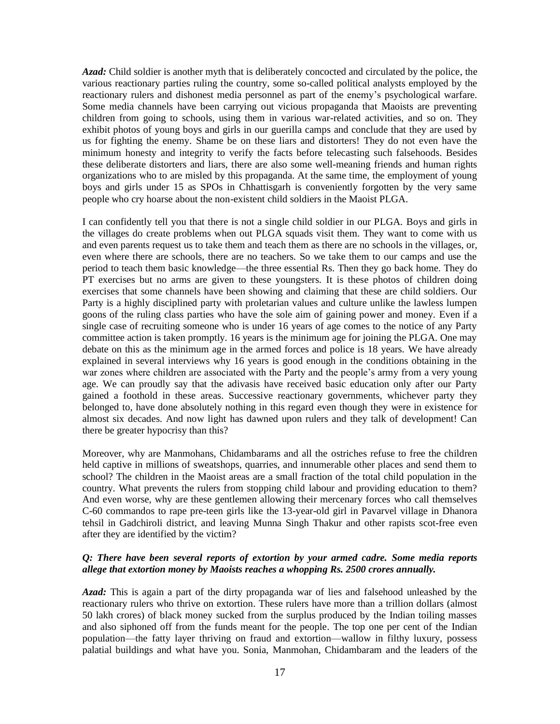*Azad:* Child soldier is another myth that is deliberately concocted and circulated by the police, the various reactionary parties ruling the country, some so-called political analysts employed by the reactionary rulers and dishonest media personnel as part of the enemy's psychological warfare. Some media channels have been carrying out vicious propaganda that Maoists are preventing children from going to schools, using them in various war-related activities, and so on. They exhibit photos of young boys and girls in our guerilla camps and conclude that they are used by us for fighting the enemy. Shame be on these liars and distorters! They do not even have the minimum honesty and integrity to verify the facts before telecasting such falsehoods. Besides these deliberate distorters and liars, there are also some well-meaning friends and human rights organizations who to are misled by this propaganda. At the same time, the employment of young boys and girls under 15 as SPOs in Chhattisgarh is conveniently forgotten by the very same people who cry hoarse about the non-existent child soldiers in the Maoist PLGA.

I can confidently tell you that there is not a single child soldier in our PLGA. Boys and girls in the villages do create problems when out PLGA squads visit them. They want to come with us and even parents request us to take them and teach them as there are no schools in the villages, or, even where there are schools, there are no teachers. So we take them to our camps and use the period to teach them basic knowledge—the three essential Rs. Then they go back home. They do PT exercises but no arms are given to these youngsters. It is these photos of children doing exercises that some channels have been showing and claiming that these are child soldiers. Our Party is a highly disciplined party with proletarian values and culture unlike the lawless lumpen goons of the ruling class parties who have the sole aim of gaining power and money. Even if a single case of recruiting someone who is under 16 years of age comes to the notice of any Party committee action is taken promptly. 16 years is the minimum age for joining the PLGA. One may debate on this as the minimum age in the armed forces and police is 18 years. We have already explained in several interviews why 16 years is good enough in the conditions obtaining in the war zones where children are associated with the Party and the people's army from a very young age. We can proudly say that the adivasis have received basic education only after our Party gained a foothold in these areas. Successive reactionary governments, whichever party they belonged to, have done absolutely nothing in this regard even though they were in existence for almost six decades. And now light has dawned upon rulers and they talk of development! Can there be greater hypocrisy than this?

Moreover, why are Manmohans, Chidambarams and all the ostriches refuse to free the children held captive in millions of sweatshops, quarries, and innumerable other places and send them to school? The children in the Maoist areas are a small fraction of the total child population in the country. What prevents the rulers from stopping child labour and providing education to them? And even worse, why are these gentlemen allowing their mercenary forces who call themselves C-60 commandos to rape pre-teen girls like the 13-year-old girl in Pavarvel village in Dhanora tehsil in Gadchiroli district, and leaving Munna Singh Thakur and other rapists scot-free even after they are identified by the victim?

## *Q: There have been several reports of extortion by your armed cadre. Some media reports allege that extortion money by Maoists reaches a whopping Rs. 2500 crores annually.*

*Azad:* This is again a part of the dirty propaganda war of lies and falsehood unleashed by the reactionary rulers who thrive on extortion. These rulers have more than a trillion dollars (almost 50 lakh crores) of black money sucked from the surplus produced by the Indian toiling masses and also siphoned off from the funds meant for the people. The top one per cent of the Indian population—the fatty layer thriving on fraud and extortion—wallow in filthy luxury, possess palatial buildings and what have you. Sonia, Manmohan, Chidambaram and the leaders of the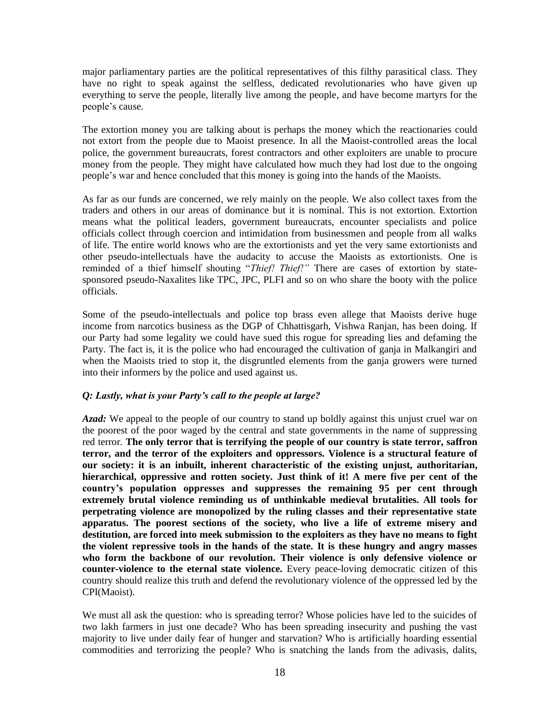major parliamentary parties are the political representatives of this filthy parasitical class. They have no right to speak against the selfless, dedicated revolutionaries who have given up everything to serve the people, literally live among the people, and have become martyrs for the people's cause.

The extortion money you are talking about is perhaps the money which the reactionaries could not extort from the people due to Maoist presence. In all the Maoist-controlled areas the local police, the government bureaucrats, forest contractors and other exploiters are unable to procure money from the people. They might have calculated how much they had lost due to the ongoing people's war and hence concluded that this money is going into the hands of the Maoists.

As far as our funds are concerned, we rely mainly on the people. We also collect taxes from the traders and others in our areas of dominance but it is nominal. This is not extortion. Extortion means what the political leaders, government bureaucrats, encounter specialists and police officials collect through coercion and intimidation from businessmen and people from all walks of life. The entire world knows who are the extortionists and yet the very same extortionists and other pseudo-intellectuals have the audacity to accuse the Maoists as extortionists. One is reminded of a thief himself shouting "*Thief! Thief!"* There are cases of extortion by statesponsored pseudo-Naxalites like TPC, JPC, PLFI and so on who share the booty with the police officials.

Some of the pseudo-intellectuals and police top brass even allege that Maoists derive huge income from narcotics business as the DGP of Chhattisgarh, Vishwa Ranjan, has been doing. If our Party had some legality we could have sued this rogue for spreading lies and defaming the Party. The fact is, it is the police who had encouraged the cultivation of ganja in Malkangiri and when the Maoists tried to stop it, the disgruntled elements from the ganja growers were turned into their informers by the police and used against us.

## *Q: Lastly, what is your Party's call to the people at large?*

*Azad:* We appeal to the people of our country to stand up boldly against this unjust cruel war on the poorest of the poor waged by the central and state governments in the name of suppressing red terror. **The only terror that is terrifying the people of our country is state terror, saffron terror, and the terror of the exploiters and oppressors. Violence is a structural feature of our society: it is an inbuilt, inherent characteristic of the existing unjust, authoritarian, hierarchical, oppressive and rotten society. Just think of it! A mere five per cent of the country"s population oppresses and suppresses the remaining 95 per cent through extremely brutal violence reminding us of unthinkable medieval brutalities. All tools for perpetrating violence are monopolized by the ruling classes and their representative state apparatus. The poorest sections of the society, who live a life of extreme misery and destitution, are forced into meek submission to the exploiters as they have no means to fight the violent repressive tools in the hands of the state. It is these hungry and angry masses who form the backbone of our revolution. Their violence is only defensive violence or counter-violence to the eternal state violence.** Every peace-loving democratic citizen of this country should realize this truth and defend the revolutionary violence of the oppressed led by the CPI(Maoist).

We must all ask the question: who is spreading terror? Whose policies have led to the suicides of two lakh farmers in just one decade? Who has been spreading insecurity and pushing the vast majority to live under daily fear of hunger and starvation? Who is artificially hoarding essential commodities and terrorizing the people? Who is snatching the lands from the adivasis, dalits,